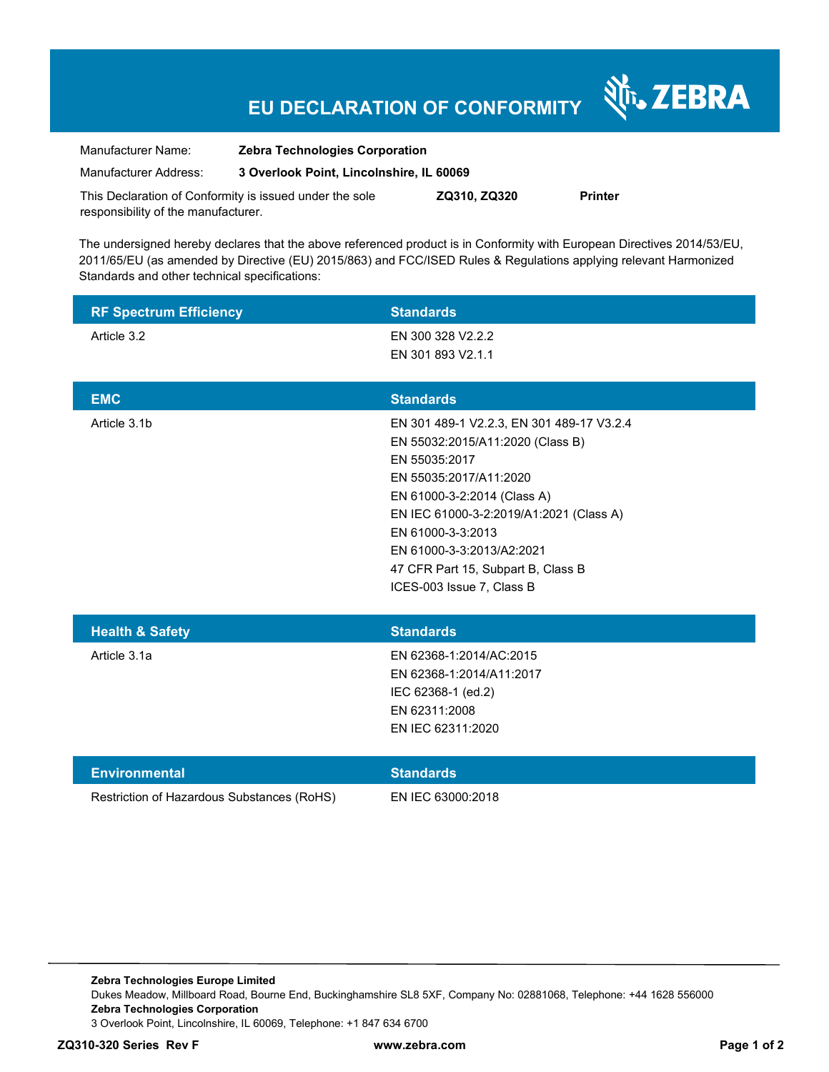## **EU DECLARATION OF CONFORMITY**

Nr. ZEBRA

| Manufacturer Name:                                      | <b>Zebra Technologies Corporation</b><br>3 Overlook Point, Lincolnshire, IL 60069 |              |                |
|---------------------------------------------------------|-----------------------------------------------------------------------------------|--------------|----------------|
| Manufacturer Address:                                   |                                                                                   |              |                |
| This Declaration of Conformity is issued under the sole |                                                                                   | ZQ310, ZQ320 | <b>Printer</b> |

responsibility of the manufacturer.

The undersigned hereby declares that the above referenced product is in Conformity with European Directives 2014/53/EU, 2011/65/EU (as amended by Directive (EU) 2015/863) and FCC/ISED Rules & Regulations applying relevant Harmonized Standards and other technical specifications:

| <b>RF Spectrum Efficiency</b>              | <b>Standards</b>                                                                                                                                                                                                                                                                                                        |
|--------------------------------------------|-------------------------------------------------------------------------------------------------------------------------------------------------------------------------------------------------------------------------------------------------------------------------------------------------------------------------|
| Article 3.2                                | EN 300 328 V2.2.2<br>EN 301 893 V2.1.1                                                                                                                                                                                                                                                                                  |
| <b>EMC</b>                                 | <b>Standards</b>                                                                                                                                                                                                                                                                                                        |
| Article 3.1b                               | EN 301 489-1 V2.2.3, EN 301 489-17 V3.2.4<br>EN 55032:2015/A11:2020 (Class B)<br>EN 55035:2017<br>EN 55035:2017/A11:2020<br>EN 61000-3-2:2014 (Class A)<br>EN IEC 61000-3-2:2019/A1:2021 (Class A)<br>EN 61000-3-3:2013<br>EN 61000-3-3:2013/A2:2021<br>47 CFR Part 15, Subpart B, Class B<br>ICES-003 Issue 7, Class B |
| <b>Health &amp; Safety</b>                 | <b>Standards</b>                                                                                                                                                                                                                                                                                                        |
| Article 3.1a                               | EN 62368-1:2014/AC:2015<br>EN 62368-1:2014/A11:2017<br>IEC 62368-1 (ed.2)<br>EN 62311:2008<br>EN IEC 62311:2020                                                                                                                                                                                                         |
| <b>Environmental</b>                       | <b>Standards</b>                                                                                                                                                                                                                                                                                                        |
| Restriction of Hazardous Substances (RoHS) | EN IEC 63000:2018                                                                                                                                                                                                                                                                                                       |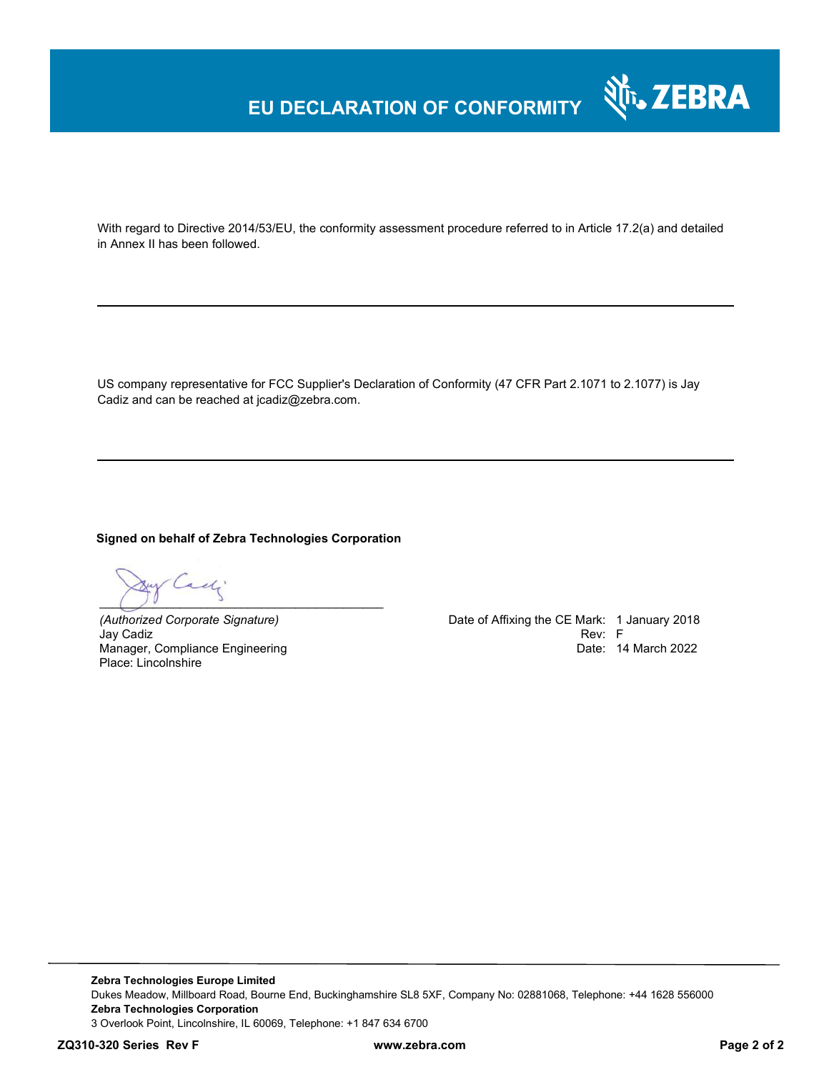### **EU DECLARATION OF CONFORMITY**

With regard to Directive 2014/53/EU, the conformity assessment procedure referred to in Article 17.2(a) and detailed in Annex II has been followed.

US company representative for FCC Supplier's Declaration of Conformity (47 CFR Part 2.1071 to 2.1077) is Jay Cadiz and can be reached at jcadiz@zebra.com.

#### **Signed on behalf of Zebra Technologies Corporation**

ely  $\overline{a}$   $\overline{b}$   $\overline{a}$   $\overline{b}$   $\overline{c}$   $\overline{d}$   $\overline{d}$   $\overline{d}$   $\overline{d}$   $\overline{d}$   $\overline{d}$   $\overline{d}$   $\overline{d}$   $\overline{d}$   $\overline{d}$   $\overline{d}$   $\overline{d}$   $\overline{d}$   $\overline{d}$   $\overline{d}$   $\overline{d}$   $\overline{d}$   $\overline{d}$   $\overline{d}$   $\overline{$ 

Jay Cadiz Rev: F Manager, Compliance Engineering Place: Lincolnshire

*(Authorized Corporate Signature)* Date of Affixing the CE Mark: 1 January 2018 Date: 14 March 2022

Nr. ZEBRA

**Zebra Technologies Europe Limited**  Dukes Meadow, Millboard Road, Bourne End, Buckinghamshire SL8 5XF, Company No: 02881068, Telephone: +44 1628 556000 **Zebra Technologies Corporation**  3 Overlook Point, Lincolnshire, IL 60069, Telephone: +1 847 634 6700